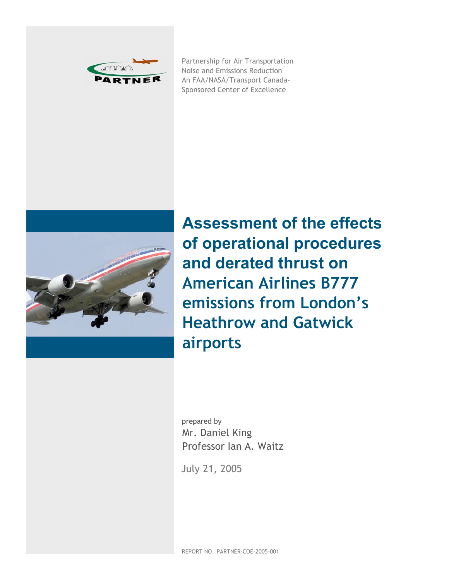

Partnership for Air Transportation Noise and Emissions Reduction An FAA/NASA/Transport Canada-Sponsored Center of Excellence



**Assessment of the effects of operational procedures and derated thrust on American Airlines B777 emissions from London's Heathrow and Gatwick airports**

prepared by Mr. Daniel King Professor Ian A. Waitz

July 21, 2005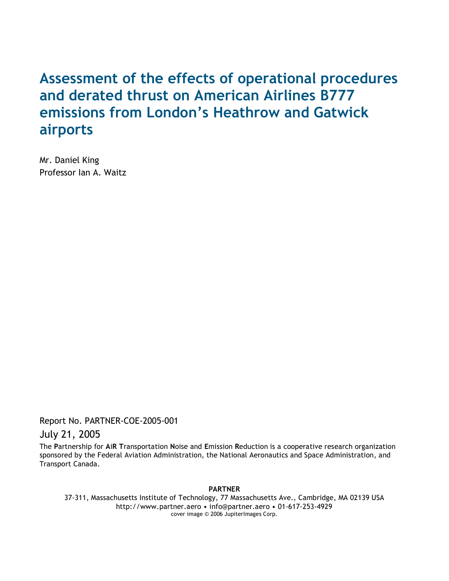# **Assessment of the effects of operational procedures and derated thrust on American Airlines B777 emissions from London's Heathrow and Gatwick airports**

Mr. Daniel King Professor Ian A. Waitz

Report No. PARTNER-COE-2005-001

July 21, 2005

The **P**artnership for **A**i**R T**ransportation **N**oise and **E**mission **R**eduction is a cooperative research organization sponsored by the Federal Aviation Administration, the National Aeronautics and Space Administration, and Transport Canada.

#### **PARTNER**

37-311, Massachusetts Institute of Technology, 77 Massachusetts Ave., Cambridge, MA 02139 USA http://www.partner.aero • info@partner.aero • 01-617-253-4929 cover image © 2006 JupiterImages Corp.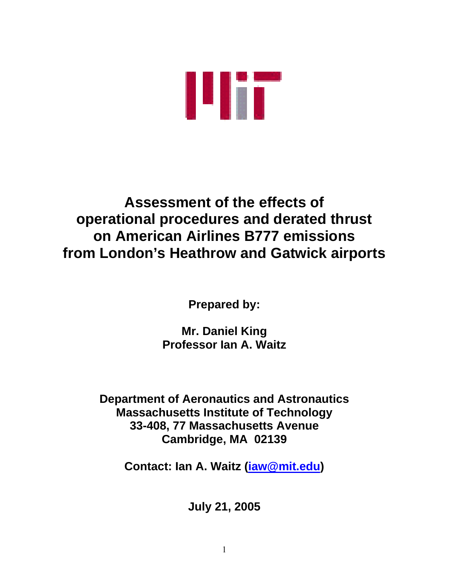

# **Assessment of the effects of operational procedures and derated thrust on American Airlines B777 emissions from London's Heathrow and Gatwick airports**

**Prepared by:** 

**Mr. Daniel King Professor Ian A. Waitz** 

**Department of Aeronautics and Astronautics Massachusetts Institute of Technology 33-408, 77 Massachusetts Avenue Cambridge, MA 02139** 

**Contact: Ian A. Waitz ([iaw@mit.edu\)](mailto:iaw@mit.edu)** 

**July 21, 2005**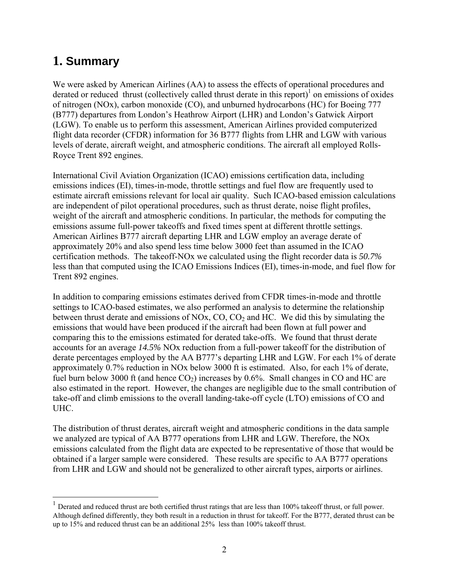## **1. Summary**

 $\overline{a}$ 

We were asked by American Airlines (AA) to assess the effects of operational procedures and derated or reduced thrust (collectively called thrust derate in this report) $\frac{1}{1}$  $\frac{1}{1}$  $\frac{1}{1}$  on emissions of oxides of nitrogen (NOx), carbon monoxide (CO), and unburned hydrocarbons (HC) for Boeing 777 (B777) departures from London's Heathrow Airport (LHR) and London's Gatwick Airport (LGW). To enable us to perform this assessment, American Airlines provided computerized flight data recorder (CFDR) information for 36 B777 flights from LHR and LGW with various levels of derate, aircraft weight, and atmospheric conditions. The aircraft all employed Rolls-Royce Trent 892 engines.

International Civil Aviation Organization (ICAO) emissions certification data, including emissions indices (EI), times-in-mode, throttle settings and fuel flow are frequently used to estimate aircraft emissions relevant for local air quality. Such ICAO-based emission calculations are independent of pilot operational procedures, such as thrust derate, noise flight profiles, weight of the aircraft and atmospheric conditions. In particular, the methods for computing the emissions assume full-power takeoffs and fixed times spent at different throttle settings. American Airlines B777 aircraft departing LHR and LGW employ an average derate of approximately 20% and also spend less time below 3000 feet than assumed in the ICAO certification methods. The takeoff-NOx we calculated using the flight recorder data is *50.7%* less than that computed using the ICAO Emissions Indices (EI), times-in-mode, and fuel flow for Trent 892 engines.

In addition to comparing emissions estimates derived from CFDR times-in-mode and throttle settings to ICAO-based estimates, we also performed an analysis to determine the relationship between thrust derate and emissions of NOx, CO, CO<sub>2</sub> and HC. We did this by simulating the emissions that would have been produced if the aircraft had been flown at full power and comparing this to the emissions estimated for derated take-offs. We found that thrust derate accounts for an average *14.5%* NOx reduction from a full-power takeoff for the distribution of derate percentages employed by the AA B777's departing LHR and LGW. For each 1% of derate approximately 0.7% reduction in NOx below 3000 ft is estimated. Also, for each 1% of derate, fuel burn below 3000 ft (and hence  $CO<sub>2</sub>$ ) increases by 0.6%. Small changes in CO and HC are also estimated in the report. However, the changes are negligible due to the small contribution of take-off and climb emissions to the overall landing-take-off cycle (LTO) emissions of CO and UHC.

The distribution of thrust derates, aircraft weight and atmospheric conditions in the data sample we analyzed are typical of AA B777 operations from LHR and LGW. Therefore, the NOx emissions calculated from the flight data are expected to be representative of those that would be obtained if a larger sample were considered. These results are specific to AA B777 operations from LHR and LGW and should not be generalized to other aircraft types, airports or airlines.

<span id="page-3-0"></span><sup>1</sup> Derated and reduced thrust are both certified thrust ratings that are less than 100% takeoff thrust, or full power. Although defined differently, they both result in a reduction in thrust for takeoff. For the B777, derated thrust can be up to 15% and reduced thrust can be an additional 25% less than 100% takeoff thrust.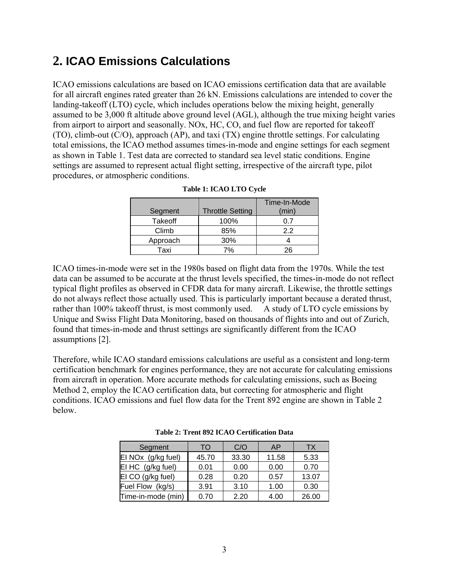## **2. ICAO Emissions Calculations**

ICAO emissions calculations are based on ICAO emissions certification data that are available for all aircraft engines rated greater than 26 kN. Emissions calculations are intended to cover the landing-takeoff (LTO) cycle, which includes operations below the mixing height, generally assumed to be 3,000 ft altitude above ground level (AGL), although the true mixing height varies from airport to airport and seasonally. NOx, HC, CO, and fuel flow are reported for takeoff (TO), climb-out (C/O), approach (AP), and taxi (TX) engine throttle settings. For calculating total emissions, the ICAO method assumes times-in-mode and engine settings for each segment as shown in Table 1. Test data are corrected to standard sea level static conditions. Engine settings are assumed to represent actual flight setting, irrespective of the aircraft type, pilot procedures, or atmospheric conditions.

| Segment        | <b>Throttle Setting</b> | Time-In-Mode<br>(min) |
|----------------|-------------------------|-----------------------|
| <b>Takeoff</b> | 100%                    | 07                    |
| Climb          | 85%                     | 22                    |
| Approach       | 30%                     |                       |
| Taxi           | 7%                      | ⊇∕ດ                   |

|  |  | Table 1: ICAO LTO Cycle |  |  |
|--|--|-------------------------|--|--|
|--|--|-------------------------|--|--|

ICAO times-in-mode were set in the 1980s based on flight data from the 1970s. While the test data can be assumed to be accurate at the thrust levels specified, the times-in-mode do not reflect typical flight profiles as observed in CFDR data for many aircraft. Likewise, the throttle settings do not always reflect those actually used. This is particularly important because a derated thrust, rather than 100% takeoff thrust, is most commonly used. A study of LTO cycle emissions by Unique and Swiss Flight Data Monitoring, based on thousands of flights into and out of Zurich, found that times-in-mode and thrust settings are significantly different from the ICAO assumptions [2].

Therefore, while ICAO standard emissions calculations are useful as a consistent and long-term certification benchmark for engines performance, they are not accurate for calculating emissions from aircraft in operation. More accurate methods for calculating emissions, such as Boeing Method 2, employ the ICAO certification data, but correcting for atmospheric and flight conditions. ICAO emissions and fuel flow data for the Trent 892 engine are shown in Table 2 below.

| Segment            | TO    | C/O   | AP    | <b>TX</b> |
|--------------------|-------|-------|-------|-----------|
| El NOx (g/kg fuel) | 45.70 | 33.30 | 11.58 | 5.33      |
| El HC (g/kg fuel)  | 0.01  | 0.00  | 0.00  | 0.70      |
| EI CO (g/kg fuel)  | 0.28  | 0.20  | 0.57  | 13.07     |
| Fuel Flow (kg/s)   | 3.91  | 3.10  | 1.00  | 0.30      |
| Time-in-mode (min) | 0.70  | 2.20  | 4.00  | 26.00     |

**Table 2: Trent 892 ICAO Certification Data**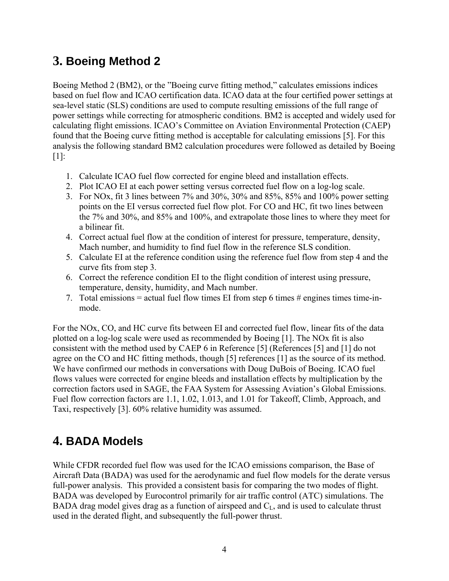## **3. Boeing Method 2**

Boeing Method 2 (BM2), or the "Boeing curve fitting method," calculates emissions indices based on fuel flow and ICAO certification data. ICAO data at the four certified power settings at sea-level static (SLS) conditions are used to compute resulting emissions of the full range of power settings while correcting for atmospheric conditions. BM2 is accepted and widely used for calculating flight emissions. ICAO's Committee on Aviation Environmental Protection (CAEP) found that the Boeing curve fitting method is acceptable for calculating emissions [5]. For this analysis the following standard BM2 calculation procedures were followed as detailed by Boeing [1]:

- 1. Calculate ICAO fuel flow corrected for engine bleed and installation effects.
- 2. Plot ICAO EI at each power setting versus corrected fuel flow on a log-log scale.
- 3. For NOx, fit 3 lines between 7% and 30%, 30% and 85%, 85% and 100% power setting points on the EI versus corrected fuel flow plot. For CO and HC, fit two lines between the 7% and 30%, and 85% and 100%, and extrapolate those lines to where they meet for a bilinear fit.
- 4. Correct actual fuel flow at the condition of interest for pressure, temperature, density, Mach number, and humidity to find fuel flow in the reference SLS condition.
- 5. Calculate EI at the reference condition using the reference fuel flow from step 4 and the curve fits from step 3.
- 6. Correct the reference condition EI to the flight condition of interest using pressure, temperature, density, humidity, and Mach number.
- 7. Total emissions = actual fuel flow times EI from step 6 times  $\#$  engines times time-inmode.

For the NOx, CO, and HC curve fits between EI and corrected fuel flow, linear fits of the data plotted on a log-log scale were used as recommended by Boeing [1]. The NOx fit is also consistent with the method used by CAEP 6 in Reference [5] (References [5] and [1] do not agree on the CO and HC fitting methods, though [5] references [1] as the source of its method. We have confirmed our methods in conversations with Doug DuBois of Boeing. ICAO fuel flows values were corrected for engine bleeds and installation effects by multiplication by the correction factors used in SAGE, the FAA System for Assessing Aviation's Global Emissions. Fuel flow correction factors are 1.1, 1.02, 1.013, and 1.01 for Takeoff, Climb, Approach, and Taxi, respectively [3]. 60% relative humidity was assumed.

## **4. BADA Models**

While CFDR recorded fuel flow was used for the ICAO emissions comparison, the Base of Aircraft Data (BADA) was used for the aerodynamic and fuel flow models for the derate versus full-power analysis. This provided a consistent basis for comparing the two modes of flight. BADA was developed by Eurocontrol primarily for air traffic control (ATC) simulations. The BADA drag model gives drag as a function of airspeed and  $C_{L}$ , and is used to calculate thrust used in the derated flight, and subsequently the full-power thrust.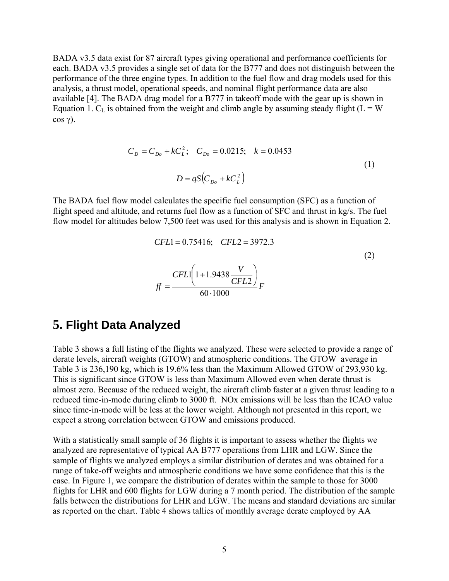BADA v3.5 data exist for 87 aircraft types giving operational and performance coefficients for each. BADA v3.5 provides a single set of data for the B777 and does not distinguish between the performance of the three engine types. In addition to the fuel flow and drag models used for this analysis, a thrust model, operational speeds, and nominal flight performance data are also available [4]. The BADA drag model for a B777 in takeoff mode with the gear up is shown in Equation 1.  $C_L$  is obtained from the weight and climb angle by assuming steady flight ( $L = W$ cos γ).

$$
C_D = C_{Do} + kC_L^2; \quad C_{Do} = 0.0215; \quad k = 0.0453
$$
  

$$
D = qS(C_{Do} + kC_L^2)
$$
 (1)

The BADA fuel flow model calculates the specific fuel consumption (SFC) as a function of flight speed and altitude, and returns fuel flow as a function of SFC and thrust in kg/s. The fuel flow model for altitudes below 7,500 feet was used for this analysis and is shown in Equation 2.

$$
CFL1 = 0.75416; \quad CFL2 = 3972.3
$$
\n
$$
ff = \frac{CFL1 \left( 1 + 1.9438 \frac{V}{CFL2} \right)}{60 \cdot 1000} F
$$
\n(2)

### **5. Flight Data Analyzed**

Table 3 shows a full listing of the flights we analyzed. These were selected to provide a range of derate levels, aircraft weights (GTOW) and atmospheric conditions. The GTOW average in Table 3 is 236,190 kg, which is 19.6% less than the Maximum Allowed GTOW of 293,930 kg. This is significant since GTOW is less than Maximum Allowed even when derate thrust is almost zero. Because of the reduced weight, the aircraft climb faster at a given thrust leading to a reduced time-in-mode during climb to 3000 ft. NOx emissions will be less than the ICAO value since time-in-mode will be less at the lower weight. Although not presented in this report, we expect a strong correlation between GTOW and emissions produced.

With a statistically small sample of 36 flights it is important to assess whether the flights we analyzed are representative of typical AA B777 operations from LHR and LGW. Since the sample of flights we analyzed employs a similar distribution of derates and was obtained for a range of take-off weights and atmospheric conditions we have some confidence that this is the case. In Figure 1, we compare the distribution of derates within the sample to those for 3000 flights for LHR and 600 flights for LGW during a 7 month period. The distribution of the sample falls between the distributions for LHR and LGW. The means and standard deviations are similar as reported on the chart. Table 4 shows tallies of monthly average derate employed by AA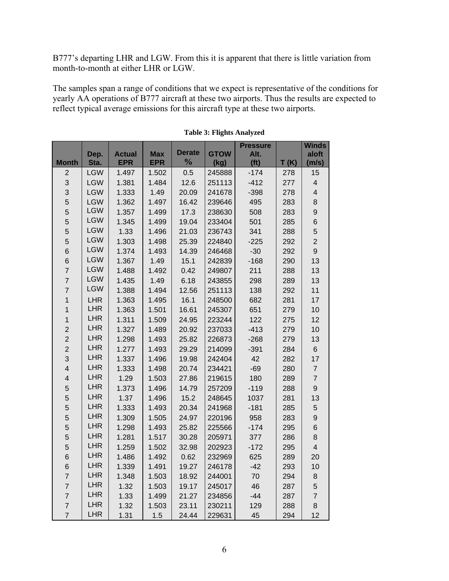B777's departing LHR and LGW. From this it is apparent that there is little variation from month-to-month at either LHR or LGW.

The samples span a range of conditions that we expect is representative of the conditions for yearly AA operations of B777 aircraft at these two airports. Thus the results are expected to reflect typical average emissions for this aircraft type at these two airports.

|                         |            |               |            |               |             | <b>Pressure</b>   |      | <b>Winds</b>            |
|-------------------------|------------|---------------|------------|---------------|-------------|-------------------|------|-------------------------|
|                         | Dep.       | <b>Actual</b> | <b>Max</b> | <b>Derate</b> | <b>GTOW</b> | Alt.              |      | aloft                   |
| <b>Month</b>            | Sta.       | <b>EPR</b>    | <b>EPR</b> | $\frac{1}{2}$ | (kg)        | (f <sup>t</sup> ) | T(K) | (m/s)                   |
| $\overline{2}$          | <b>LGW</b> | 1.497         | 1.502      | 0.5           | 245888      | $-174$            | 278  | 15                      |
| 3                       | <b>LGW</b> | 1.381         | 1.484      | 12.6          | 251113      | $-412$            | 277  | $\overline{4}$          |
| 3                       | <b>LGW</b> | 1.333         | 1.49       | 20.09         | 241678      | $-398$            | 278  | $\overline{\mathbf{4}}$ |
| 5                       | <b>LGW</b> | 1.362         | 1.497      | 16.42         | 239646      | 495               | 283  | 8                       |
| 5                       | <b>LGW</b> | 1.357         | 1.499      | 17.3          | 238630      | 508               | 283  | 9                       |
| 5                       | <b>LGW</b> | 1.345         | 1.499      | 19.04         | 233404      | 501               | 285  | 6                       |
| 5                       | <b>LGW</b> | 1.33          | 1.496      | 21.03         | 236743      | 341               | 288  | 5                       |
| 5                       | <b>LGW</b> | 1.303         | 1.498      | 25.39         | 224840      | $-225$            | 292  | $\overline{2}$          |
| 6                       | <b>LGW</b> | 1.374         | 1.493      | 14.39         | 246468      | $-30$             | 292  | 9                       |
| $\,$ 6                  | <b>LGW</b> | 1.367         | 1.49       | 15.1          | 242839      | $-168$            | 290  | 13                      |
| $\overline{7}$          | <b>LGW</b> | 1.488         | 1.492      | 0.42          | 249807      | 211               | 288  | 13                      |
| $\overline{7}$          | <b>LGW</b> | 1.435         | 1.49       | 6.18          | 243855      | 298               | 289  | 13                      |
| $\overline{7}$          | <b>LGW</b> | 1.388         | 1.494      | 12.56         | 251113      | 138               | 292  | 11                      |
| 1                       | <b>LHR</b> | 1.363         | 1.495      | 16.1          | 248500      | 682               | 281  | 17                      |
| 1                       | <b>LHR</b> | 1.363         | 1.501      | 16.61         | 245307      | 651               | 279  | 10                      |
| $\overline{1}$          | <b>LHR</b> | 1.311         | 1.509      | 24.95         | 223244      | 122               | 275  | 12                      |
| $\overline{c}$          | <b>LHR</b> | 1.327         | 1.489      | 20.92         | 237033      | $-413$            | 279  | 10                      |
| $\overline{2}$          | <b>LHR</b> | 1.298         | 1.493      | 25.82         | 226873      | $-268$            | 279  | 13                      |
| $\overline{c}$          | <b>LHR</b> | 1.277         | 1.493      | 29.29         | 214099      | $-391$            | 284  | $6\phantom{a}$          |
| 3                       | <b>LHR</b> | 1.337         | 1.496      | 19.98         | 242404      | 42                | 282  | 17                      |
| $\overline{\mathbf{4}}$ | <b>LHR</b> | 1.333         | 1.498      | 20.74         | 234421      | $-69$             | 280  | $\overline{7}$          |
| $\overline{\mathbf{4}}$ | <b>LHR</b> | 1.29          | 1.503      | 27.86         | 219615      | 180               | 289  | $\overline{7}$          |
| 5                       | <b>LHR</b> | 1.373         | 1.496      | 14.79         | 257209      | $-119$            | 288  | 9                       |
| 5                       | <b>LHR</b> | 1.37          | 1.496      | 15.2          | 248645      | 1037              | 281  | 13                      |
| 5                       | <b>LHR</b> | 1.333         | 1.493      | 20.34         | 241968      | $-181$            | 285  | 5                       |
| 5                       | <b>LHR</b> | 1.309         | 1.505      | 24.97         | 220196      | 958               | 283  | 9                       |
| 5                       | <b>LHR</b> | 1.298         | 1.493      | 25.82         | 225566      | $-174$            | 295  | 6                       |
| 5                       | <b>LHR</b> | 1.281         | 1.517      | 30.28         | 205971      | 377               | 286  | 8                       |
| 5                       | <b>LHR</b> | 1.259         | 1.502      | 32.98         | 202923      | $-172$            | 295  | $\overline{\mathbf{4}}$ |
| $\,$ 6                  | <b>LHR</b> | 1.486         | 1.492      | 0.62          | 232969      | 625               | 289  | 20                      |
| 6                       | <b>LHR</b> | 1.339         | 1.491      | 19.27         | 246178      | $-42$             | 293  | 10                      |
| $\overline{7}$          | <b>LHR</b> | 1.348         | 1.503      | 18.92         | 244001      | 70                | 294  | 8                       |
| $\overline{7}$          | <b>LHR</b> | 1.32          | 1.503      | 19.17         | 245017      | 46                | 287  | 5                       |
| $\overline{7}$          | <b>LHR</b> | 1.33          | 1.499      | 21.27         | 234856      | $-44$             | 287  | $\overline{7}$          |
| $\overline{7}$          | <b>LHR</b> | 1.32          | 1.503      | 23.11         | 230211      | 129               | 288  | 8                       |
| $\overline{7}$          | <b>LHR</b> | 1.31          | 1.5        | 24.44         | 229631      | 45                | 294  | 12                      |

#### **Table 3: Flights Analyzed**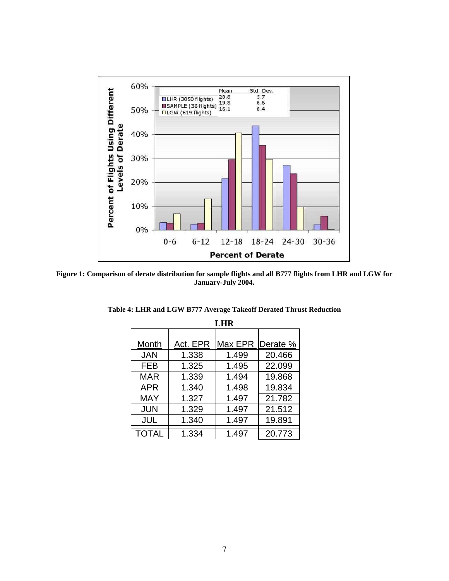

**Figure 1: Comparison of derate distribution for sample flights and all B777 flights from LHR and LGW for January-July 2004.** 

| <b>LHR</b>   |          |         |          |  |  |  |
|--------------|----------|---------|----------|--|--|--|
|              |          |         |          |  |  |  |
| Month        | Act. EPR | Max EPR | Derate % |  |  |  |
| <b>JAN</b>   | 1.338    | 1.499   | 20.466   |  |  |  |
| <b>FEB</b>   | 1.325    | 1.495   | 22.099   |  |  |  |
| <b>MAR</b>   | 1.339    | 1.494   | 19.868   |  |  |  |
| <b>APR</b>   | 1.340    | 1.498   | 19.834   |  |  |  |
| MAY          | 1.327    | 1.497   | 21.782   |  |  |  |
| <b>JUN</b>   | 1.329    | 1.497   | 21.512   |  |  |  |
| <b>JUL</b>   | 1.340    | 1.497   | 19.891   |  |  |  |
| <b>TOTAL</b> | 1.334    | 1.497   | 20.773   |  |  |  |

**Table 4: LHR and LGW B777 Average Takeoff Derated Thrust Reduction**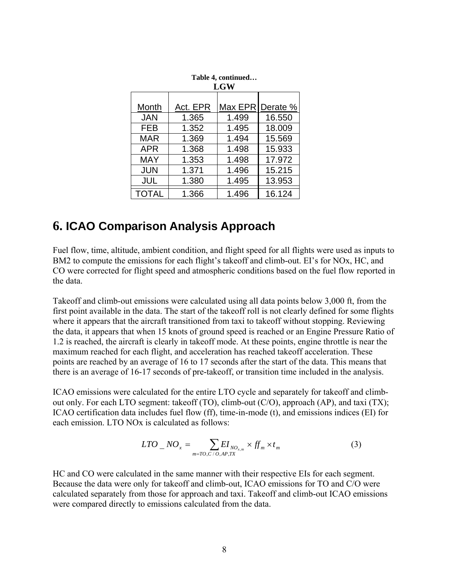| Table 4, continued<br><b>LGW</b> |          |         |          |  |  |  |
|----------------------------------|----------|---------|----------|--|--|--|
|                                  |          |         |          |  |  |  |
| Month                            | Act. EPR | Max EPR | Derate % |  |  |  |
| <b>JAN</b>                       | 1.365    | 1.499   | 16.550   |  |  |  |
| <b>FEB</b>                       | 1.352    | 1.495   | 18.009   |  |  |  |
| <b>MAR</b>                       | 1.369    | 1.494   | 15.569   |  |  |  |
| <b>APR</b>                       | 1.368    | 1.498   | 15.933   |  |  |  |
| MAY                              | 1.353    | 1.498   | 17.972   |  |  |  |
| <b>JUN</b>                       | 1.371    | 1.496   | 15.215   |  |  |  |
| <b>JUL</b>                       | 1.380    | 1.495   | 13.953   |  |  |  |
| <b>TOTAL</b>                     | 1.366    | 1.496   | 16.124   |  |  |  |

| Table 4, continued<br><b>LGW</b> |                |       |        |  |  |  |
|----------------------------------|----------------|-------|--------|--|--|--|
| <u>h</u>                         | Max EPR Derate |       |        |  |  |  |
|                                  | 1.365          | 1.499 | 16.55  |  |  |  |
|                                  | 1.352          | 1.495 | 18.00  |  |  |  |
| ξ                                | 1.369          | 1.494 | 15.56  |  |  |  |
|                                  | 1.368          | 498   | 15.93: |  |  |  |

### **6. ICAO Comparison Analysis Approach**

Fuel flow, time, altitude, ambient condition, and flight speed for all flights were used as inputs to BM2 to compute the emissions for each flight's takeoff and climb-out. EI's for NOx, HC, and CO were corrected for flight speed and atmospheric conditions based on the fuel flow reported in the data.

Takeoff and climb-out emissions were calculated using all data points below 3,000 ft, from the first point available in the data. The start of the takeoff roll is not clearly defined for some flights where it appears that the aircraft transitioned from taxi to takeoff without stopping. Reviewing the data, it appears that when 15 knots of ground speed is reached or an Engine Pressure Ratio of 1.2 is reached, the aircraft is clearly in takeoff mode. At these points, engine throttle is near the maximum reached for each flight, and acceleration has reached takeoff acceleration. These points are reached by an average of 16 to 17 seconds after the start of the data. This means that there is an average of 16-17 seconds of pre-takeoff, or transition time included in the analysis.

ICAO emissions were calculated for the entire LTO cycle and separately for takeoff and climbout only. For each LTO segment: takeoff (TO), climb-out (C/O), approach (AP), and taxi (TX); ICAO certification data includes fuel flow (ff), time-in-mode (t), and emissions indices (EI) for each emission. LTO NO<sub>x</sub> is calculated as follows:

$$
LTO_{N}NO_{x} = \sum_{m=TO,C/O,AP,TX} EI_{NO_{x,m}} \times f_{m} \times t_{m}
$$
 (3)

HC and CO were calculated in the same manner with their respective EIs for each segment. Because the data were only for takeoff and climb-out, ICAO emissions for TO and C/O were calculated separately from those for approach and taxi. Takeoff and climb-out ICAO emissions were compared directly to emissions calculated from the data.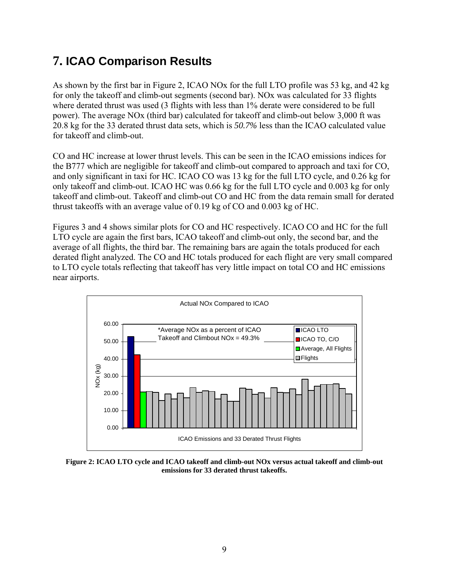## **7. ICAO Comparison Results**

As shown by the first bar in Figure 2, ICAO NOx for the full LTO profile was 53 kg, and 42 kg for only the takeoff and climb-out segments (second bar). NOx was calculated for 33 flights where derated thrust was used (3 flights with less than  $1\%$  derate were considered to be full power). The average NOx (third bar) calculated for takeoff and climb-out below 3,000 ft was 20.8 kg for the 33 derated thrust data sets, which is *50.7%* less than the ICAO calculated value for takeoff and climb-out.

CO and HC increase at lower thrust levels. This can be seen in the ICAO emissions indices for the B777 which are negligible for takeoff and climb-out compared to approach and taxi for CO, and only significant in taxi for HC. ICAO CO was 13 kg for the full LTO cycle, and 0.26 kg for only takeoff and climb-out. ICAO HC was 0.66 kg for the full LTO cycle and 0.003 kg for only takeoff and climb-out. Takeoff and climb-out CO and HC from the data remain small for derated thrust takeoffs with an average value of 0.19 kg of CO and 0.003 kg of HC.

Figures 3 and 4 shows similar plots for CO and HC respectively. ICAO CO and HC for the full LTO cycle are again the first bars, ICAO takeoff and climb-out only, the second bar, and the average of all flights, the third bar. The remaining bars are again the totals produced for each derated flight analyzed. The CO and HC totals produced for each flight are very small compared to LTO cycle totals reflecting that takeoff has very little impact on total CO and HC emissions near airports.



**Figure 2: ICAO LTO cycle and ICAO takeoff and climb-out NOx versus actual takeoff and climb-out emissions for 33 derated thrust takeoffs.**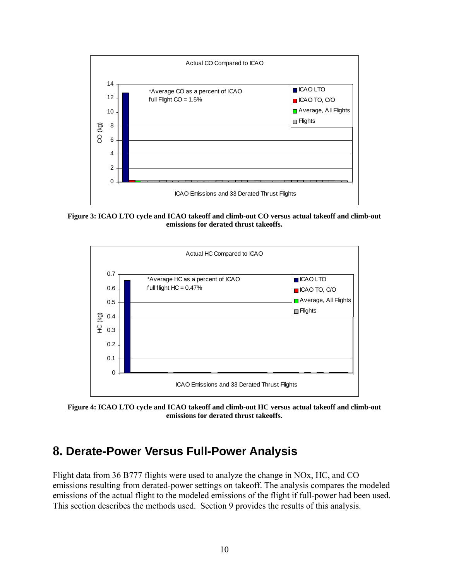

**Figure 3: ICAO LTO cycle and ICAO takeoff and climb-out CO versus actual takeoff and climb-out emissions for derated thrust takeoffs.** 



**Figure 4: ICAO LTO cycle and ICAO takeoff and climb-out HC versus actual takeoff and climb-out emissions for derated thrust takeoffs.** 

### **8. Derate-Power Versus Full-Power Analysis**

Flight data from 36 B777 flights were used to analyze the change in NOx, HC, and CO emissions resulting from derated-power settings on takeoff. The analysis compares the modeled emissions of the actual flight to the modeled emissions of the flight if full-power had been used. This section describes the methods used. Section 9 provides the results of this analysis.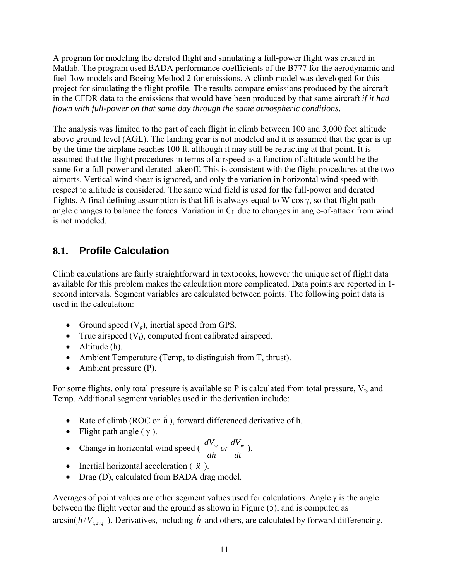A program for modeling the derated flight and simulating a full-power flight was created in Matlab. The program used BADA performance coefficients of the B777 for the aerodynamic and fuel flow models and Boeing Method 2 for emissions. A climb model was developed for this project for simulating the flight profile. The results compare emissions produced by the aircraft in the CFDR data to the emissions that would have been produced by that same aircraft *if it had flown with full-power on that same day through the same atmospheric conditions*.

The analysis was limited to the part of each flight in climb between 100 and 3,000 feet altitude above ground level (AGL). The landing gear is not modeled and it is assumed that the gear is up by the time the airplane reaches 100 ft, although it may still be retracting at that point. It is assumed that the flight procedures in terms of airspeed as a function of altitude would be the same for a full-power and derated takeoff. This is consistent with the flight procedures at the two airports. Vertical wind shear is ignored, and only the variation in horizontal wind speed with respect to altitude is considered. The same wind field is used for the full-power and derated flights. A final defining assumption is that lift is always equal to W cos  $\gamma$ , so that flight path angle changes to balance the forces. Variation in  $C_L$  due to changes in angle-of-attack from wind is not modeled.

### **8.1. Profile Calculation**

Climb calculations are fairly straightforward in textbooks, however the unique set of flight data available for this problem makes the calculation more complicated. Data points are reported in 1 second intervals. Segment variables are calculated between points. The following point data is used in the calculation:

- Ground speed  $(V_g)$ , inertial speed from GPS.
- True airspeed  $(V_t)$ , computed from calibrated airspeed.
- Altitude (h).
- Ambient Temperature (Temp, to distinguish from T, thrust).
- Ambient pressure (P).

For some flights, only total pressure is available so P is calculated from total pressure,  $V_t$ , and Temp. Additional segment variables used in the derivation include:

- Rate of climb (ROC or  $\dot{h}$ ), forward differenced derivative of h.
- Flight path angle  $(\gamma)$ .
- Change in horizontal wind speed ( $\frac{dV_w}{dh}$  or  $\frac{dV}{dt}$ *dh*  $\frac{dV_w}{dr}$  *or*  $\frac{dV_w}{dr}$  ).
- Inertial horizontal acceleration ( $\ddot{x}$ ).
- Drag (D), calculated from BADA drag model.

Averages of point values are other segment values used for calculations. Angle  $\gamma$  is the angle between the flight vector and the ground as shown in Figure (5), and is computed as arcsin( $\hat{h}/V_{t,avg}$ ). Derivatives, including  $\hat{h}$  and others, are calculated by forward differencing.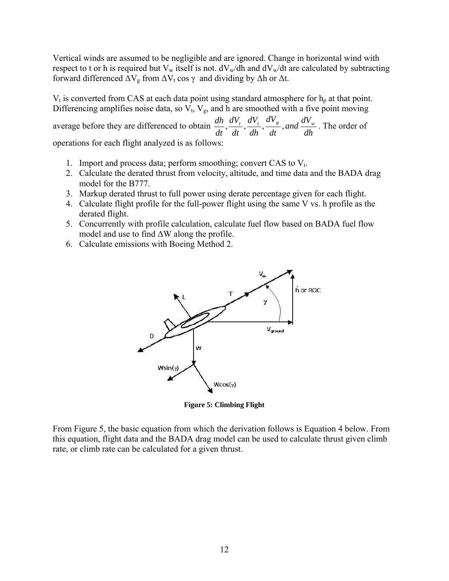Vertical winds are assumed to be negligible and are ignored. Change in horizontal wind with respect to t or h is required but  $V_w$  itself is not.  $dV_w/dh$  and  $dV_w/dt$  are calculated by subtracting forward differenced  $\Delta V_g$  from  $\Delta V_t \cos \gamma$  and dividing by  $\Delta h$  or  $\Delta t$ .

 $V_t$  is converted from CAS at each data point using standard atmosphere for  $h_p$  at that point. Differencing amplifies noise data, so  $V_t$ ,  $V_g$ , and h are smoothed with a five point moving

average before they are differenced to obtain  $\frac{dh}{dt}$ ,  $\frac{dV_t}{dt}$ ,  $\frac{dV_t}{dh}$ ,  $\frac{dV_s}{dt}$ , and  $\frac{dV_s}{dh}$ *dt dV dh dV dt dV dt*  $\frac{dh}{dt}$ ,  $\frac{dV_t}{dt}$ ,  $\frac{dV_s}{dt}$ , and  $\frac{dV_w}{dt}$ . The order of

operations for each flight analyzed is as follows:

- 1. Import and process data; perform smoothing; convert CAS to  $V_t$ .
- 2. Calculate the derated thrust from velocity, altitude, and time data and the BADA drag model for the B777.
- 3. Markup derated thrust to full power using derate percentage given for each flight.
- 4. Calculate flight profile for the full-power flight using the same V vs. h profile as the derated flight.
- 5. Concurrently with profile calculation, calculate fuel flow based on BADA fuel flow model and use to find ∆W along the profile.
- 6. Calculate emissions with Boeing Method 2.



**Figure 5: Climbing Flight**

From Figure 5, the basic equation from which the derivation follows is Equation 4 below. From this equation, flight data and the BADA drag model can be used to calculate thrust given climb rate, or climb rate can be calculated for a given thrust.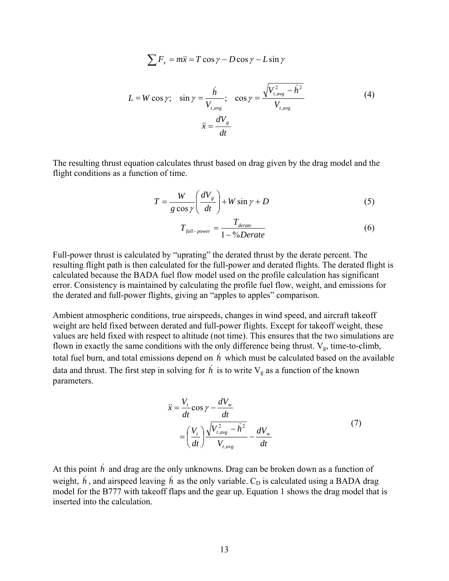$$
\sum F_x = m\ddot{x} = T\cos\gamma - D\cos\gamma - L\sin\gamma
$$

$$
L = W \cos \gamma; \quad \sin \gamma = \frac{\dot{h}}{V_{t,avg}}; \quad \cos \gamma = \frac{\sqrt{V_{t,avg}^2 - \dot{h}^2}}{V_{t,avg}}
$$
(4)  

$$
\ddot{x} = \frac{dV_g}{dt}
$$

The resulting thrust equation calculates thrust based on drag given by the drag model and the flight conditions as a function of time.

$$
T = \frac{W}{g \cos \gamma} \left( \frac{dV_g}{dt} \right) + W \sin \gamma + D \tag{5}
$$

$$
T_{\text{full-power}} = \frac{T_{\text{derate}}}{1 - \frac{9}{0} \text{Derate}} \tag{6}
$$

Full-power thrust is calculated by "uprating" the derated thrust by the derate percent. The resulting flight path is then calculated for the full-power and derated flights. The derated flight is calculated because the BADA fuel flow model used on the profile calculation has significant error. Consistency is maintained by calculating the profile fuel flow, weight, and emissions for the derated and full-power flights, giving an "apples to apples" comparison.

Ambient atmospheric conditions, true airspeeds, changes in wind speed, and aircraft takeoff weight are held fixed between derated and full-power flights. Except for takeoff weight, these values are held fixed with respect to altitude (not time). This ensures that the two simulations are flown in exactly the same conditions with the only difference being thrust.  $V_g$ , time-to-climb, total fuel burn, and total emissions depend on  $\overrightarrow{h}$  which must be calculated based on the available data and thrust. The first step in solving for  $\dot{h}$  is to write  $V_g$  as a function of the known parameters.

$$
\ddot{x} = \frac{V_t}{dt} \cos \gamma - \frac{dV_w}{dt}
$$
\n
$$
= \left(\frac{V_t}{dt}\right) \frac{\sqrt{V_{t,avg}^2 - \dot{h}^2}}{V_{t,avg}} - \frac{dV_w}{dt}
$$
\n(7)

At this point  $\dot{h}$  and drag are the only unknowns. Drag can be broken down as a function of weight,  $h$ , and airspeed leaving  $h$  as the only variable.  $C_D$  is calculated using a BADA drag model for the B777 with takeoff flaps and the gear up. Equation 1 shows the drag model that is inserted into the calculation.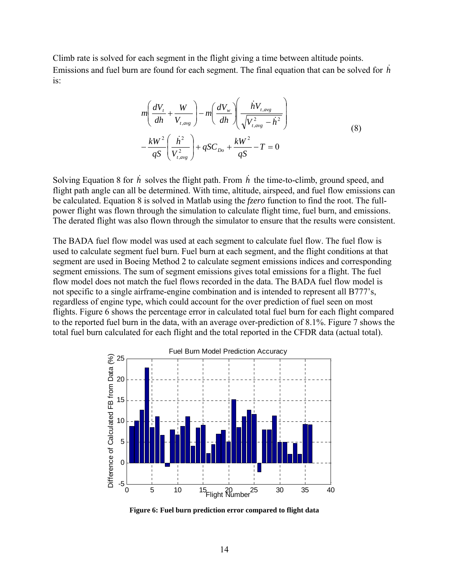Climb rate is solved for each segment in the flight giving a time between altitude points. Emissions and fuel burn are found for each segment. The final equation that can be solved for  $\dot{h}$ is:

$$
m\left(\frac{dV_t}{dh} + \frac{W}{V_{t,avg}}\right) - m\left(\frac{dV_w}{dh}\right)\left(\frac{hV_{t,avg}}{\sqrt{V_{t,avg}^2 - h^2}}\right)
$$
  

$$
-\frac{kW^2}{qS}\left(\frac{h^2}{V_{t,avg}^2}\right) + qSC_{Do} + \frac{kW^2}{qS} - T = 0
$$
 (8)

Solving Equation 8 for  $\dot{h}$  solves the flight path. From  $\dot{h}$  the time-to-climb, ground speed, and flight path angle can all be determined. With time, altitude, airspeed, and fuel flow emissions can be calculated. Equation 8 is solved in Matlab using the *fzero* function to find the root. The fullpower flight was flown through the simulation to calculate flight time, fuel burn, and emissions. The derated flight was also flown through the simulator to ensure that the results were consistent.

The BADA fuel flow model was used at each segment to calculate fuel flow. The fuel flow is used to calculate segment fuel burn. Fuel burn at each segment, and the flight conditions at that segment are used in Boeing Method 2 to calculate segment emissions indices and corresponding segment emissions. The sum of segment emissions gives total emissions for a flight. The fuel flow model does not match the fuel flows recorded in the data. The BADA fuel flow model is not specific to a single airframe-engine combination and is intended to represent all B777's, regardless of engine type, which could account for the over prediction of fuel seen on most flights. Figure 6 shows the percentage error in calculated total fuel burn for each flight compared to the reported fuel burn in the data, with an average over-prediction of 8.1%. Figure 7 shows the total fuel burn calculated for each flight and the total reported in the CFDR data (actual total).



**Figure 6: Fuel burn prediction error compared to flight data**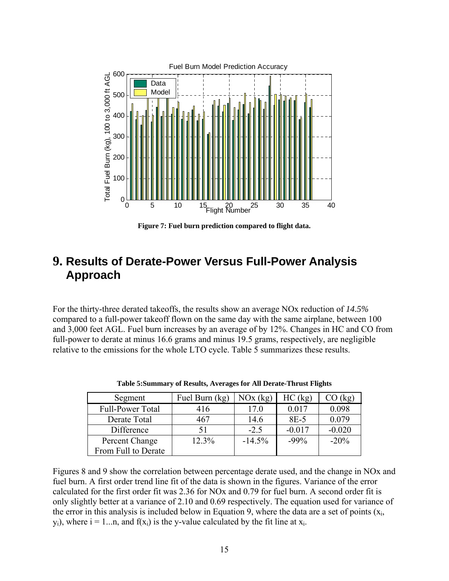

**Figure 7: Fuel burn prediction compared to flight data.** 

## **9. Results of Derate-Power Versus Full-Power Analysis Approach**

For the thirty-three derated takeoffs, the results show an average NOx reduction of *14.5%*  compared to a full-power takeoff flown on the same day with the same airplane, between 100 and 3,000 feet AGL. Fuel burn increases by an average of by 12%. Changes in HC and CO from full-power to derate at minus 16.6 grams and minus 19.5 grams, respectively, are negligible relative to the emissions for the whole LTO cycle. Table 5 summarizes these results.

| Segment             | Fuel Burn (kg) | NOx (kg) | HC (kg)  | $\cup$ (kg) |
|---------------------|----------------|----------|----------|-------------|
| Full-Power Total    | 416            | 17.0     | 0.017    | 0.098       |
| Derate Total        | 467            | 14.6     | $8E-5$   | 0.079       |
| Difference          |                | $-2.5$   | $-0.017$ | $-0.020$    |
| Percent Change      | 12.3%          | $-14.5%$ | $-99%$   | $-20%$      |
| From Full to Derate |                |          |          |             |

**Table 5:Summary of Results, Averages for All Derate-Thrust Flights**

Figures 8 and 9 show the correlation between percentage derate used, and the change in NOx and fuel burn. A first order trend line fit of the data is shown in the figures. Variance of the error calculated for the first order fit was 2.36 for NOx and 0.79 for fuel burn. A second order fit is only slightly better at a variance of 2.10 and 0.69 respectively. The equation used for variance of the error in this analysis is included below in Equation 9, where the data are a set of points  $(x_i)$ ,  $y_i$ ), where  $i = 1...n$ , and  $f(x_i)$  is the y-value calculated by the fit line at  $x_i$ .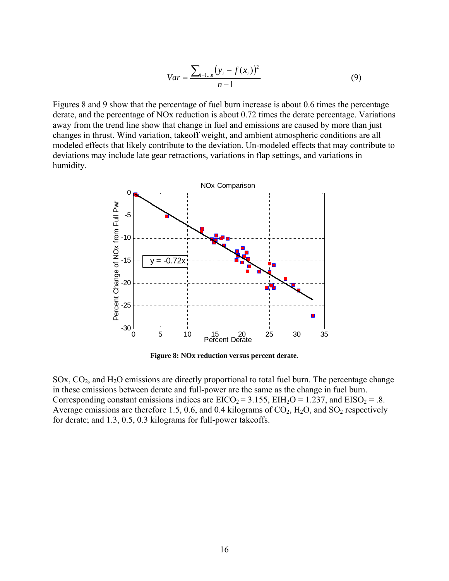$$
Var = \frac{\sum_{i=1...n} (y_i - f(x_i))^2}{n - 1}
$$
 (9)

Figures 8 and 9 show that the percentage of fuel burn increase is about 0.6 times the percentage derate, and the percentage of NOx reduction is about 0.72 times the derate percentage. Variations away from the trend line show that change in fuel and emissions are caused by more than just changes in thrust. Wind variation, takeoff weight, and ambient atmospheric conditions are all modeled effects that likely contribute to the deviation. Un-modeled effects that may contribute to deviations may include late gear retractions, variations in flap settings, and variations in humidity.



**Figure 8: NOx reduction versus percent derate.** 

SOx,  $CO<sub>2</sub>$ , and  $H<sub>2</sub>O$  emissions are directly proportional to total fuel burn. The percentage change in these emissions between derate and full-power are the same as the change in fuel burn. Corresponding constant emissions indices are  $EICO_2 = 3.155$ ,  $EIH_2O = 1.237$ , and  $EISO_2 = .8$ . Average emissions are therefore 1.5, 0.6, and 0.4 kilograms of  $CO_2$ ,  $H_2O$ , and  $SO_2$  respectively for derate; and 1.3, 0.5, 0.3 kilograms for full-power takeoffs.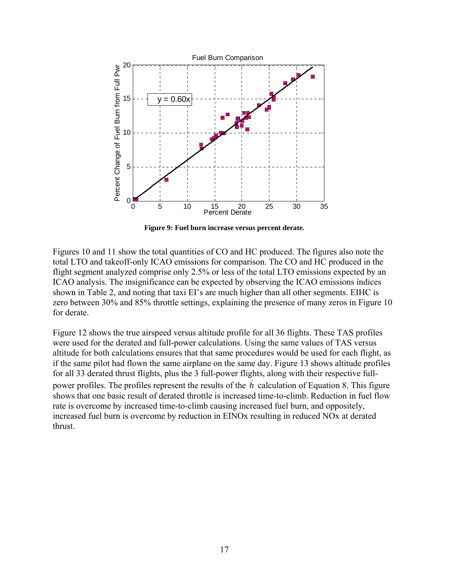

**Figure 9: Fuel burn increase versus percent derate.** 

Figures 10 and 11 show the total quantities of CO and HC produced. The figures also note the total LTO and takeoff-only ICAO emissions for comparison. The CO and HC produced in the flight segment analyzed comprise only 2.5% or less of the total LTO emissions expected by an ICAO analysis. The insignificance can be expected by observing the ICAO emissions indices shown in Table 2, and noting that taxi EI's are much higher than all other segments. EIHC is zero between 30% and 85% throttle settings, explaining the presence of many zeros in Figure 10 for derate.

Figure 12 shows the true airspeed versus altitude profile for all 36 flights. These TAS profiles were used for the derated and full-power calculations. Using the same values of TAS versus altitude for both calculations ensures that that same procedures would be used for each flight, as if the same pilot had flown the same airplane on the same day. Figure 13 shows altitude profiles for all 33 derated thrust flights, plus the 3 full-power flights, along with their respective fullpower profiles. The profiles represent the results of the  $\dot{h}$  calculation of Equation 8. This figure shows that one basic result of derated throttle is increased time-to-climb. Reduction in fuel flow rate is overcome by increased time-to-climb causing increased fuel burn, and oppositely, increased fuel burn is overcome by reduction in EINOx resulting in reduced NOx at derated thrust.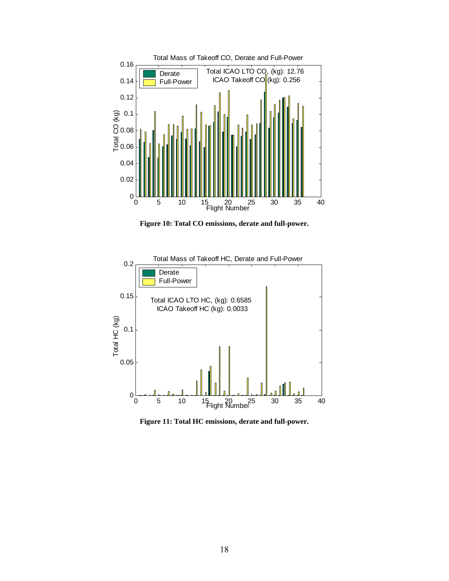

**Figure 10: Total CO emissions, derate and full-power.** 



**Figure 11: Total HC emissions, derate and full-power.**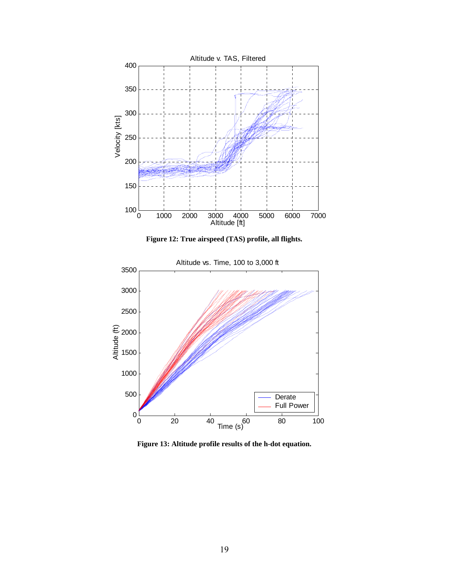

**Figure 12: True airspeed (TAS) profile, all flights.** 



**Figure 13: Altitude profile results of the h-dot equation.**